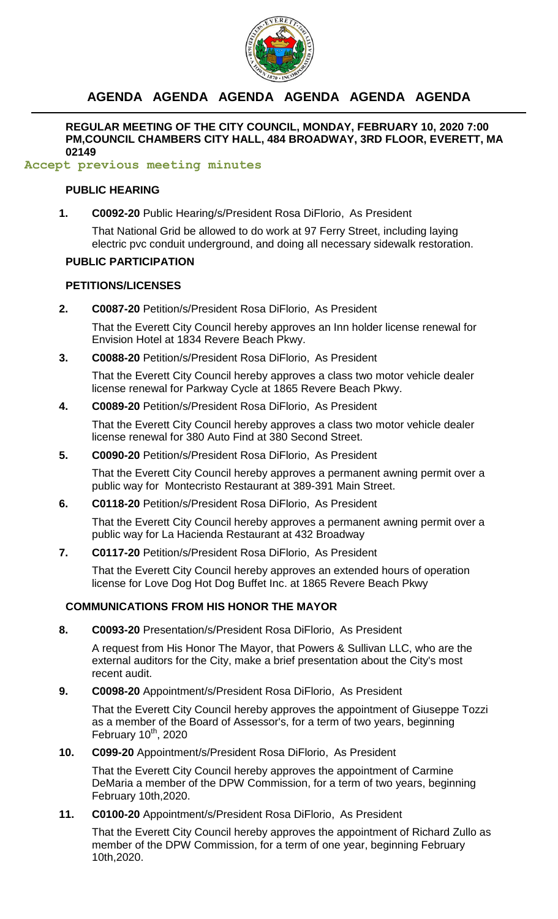

# **AGENDA AGENDA AGENDA AGENDA AGENDA AGENDA**

**REGULAR MEETING OF THE CITY COUNCIL, MONDAY, FEBRUARY 10, 2020 7:00 PM,COUNCIL CHAMBERS CITY HALL, 484 BROADWAY, 3RD FLOOR, EVERETT, MA 02149**

## **Accept previous meeting minutes**

## **PUBLIC HEARING**

**1. C0092-20** Public Hearing/s/President Rosa DiFlorio, As President

That National Grid be allowed to do work at 97 Ferry Street, including laying electric pvc conduit underground, and doing all necessary sidewalk restoration.

## **PUBLIC PARTICIPATION**

## **PETITIONS/LICENSES**

**2. C0087-20** Petition/s/President Rosa DiFlorio, As President

That the Everett City Council hereby approves an Inn holder license renewal for Envision Hotel at 1834 Revere Beach Pkwy.

**3. C0088-20** Petition/s/President Rosa DiFlorio, As President

That the Everett City Council hereby approves a class two motor vehicle dealer license renewal for Parkway Cycle at 1865 Revere Beach Pkwy.

**4. C0089-20** Petition/s/President Rosa DiFlorio, As President

That the Everett City Council hereby approves a class two motor vehicle dealer license renewal for 380 Auto Find at 380 Second Street.

**5. C0090-20** Petition/s/President Rosa DiFlorio, As President

That the Everett City Council hereby approves a permanent awning permit over a public way for Montecristo Restaurant at 389-391 Main Street.

**6. C0118-20** Petition/s/President Rosa DiFlorio, As President

That the Everett City Council hereby approves a permanent awning permit over a public way for La Hacienda Restaurant at 432 Broadway

**7. C0117-20** Petition/s/President Rosa DiFlorio, As President

That the Everett City Council hereby approves an extended hours of operation license for Love Dog Hot Dog Buffet Inc. at 1865 Revere Beach Pkwy

## **COMMUNICATIONS FROM HIS HONOR THE MAYOR**

**8. C0093-20** Presentation/s/President Rosa DiFlorio, As President

A request from His Honor The Mayor, that Powers & Sullivan LLC, who are the external auditors for the City, make a brief presentation about the City's most recent audit.

**9. C0098-20** Appointment/s/President Rosa DiFlorio, As President

That the Everett City Council hereby approves the appointment of Giuseppe Tozzi as a member of the Board of Assessor's, for a term of two years, beginning February  $10^{th}$ , 2020

**10. C099-20** Appointment/s/President Rosa DiFlorio, As President

That the Everett City Council hereby approves the appointment of Carmine DeMaria a member of the DPW Commission, for a term of two years, beginning February 10th,2020.

**11. C0100-20** Appointment/s/President Rosa DiFlorio, As President

That the Everett City Council hereby approves the appointment of Richard Zullo as member of the DPW Commission, for a term of one year, beginning February 10th,2020.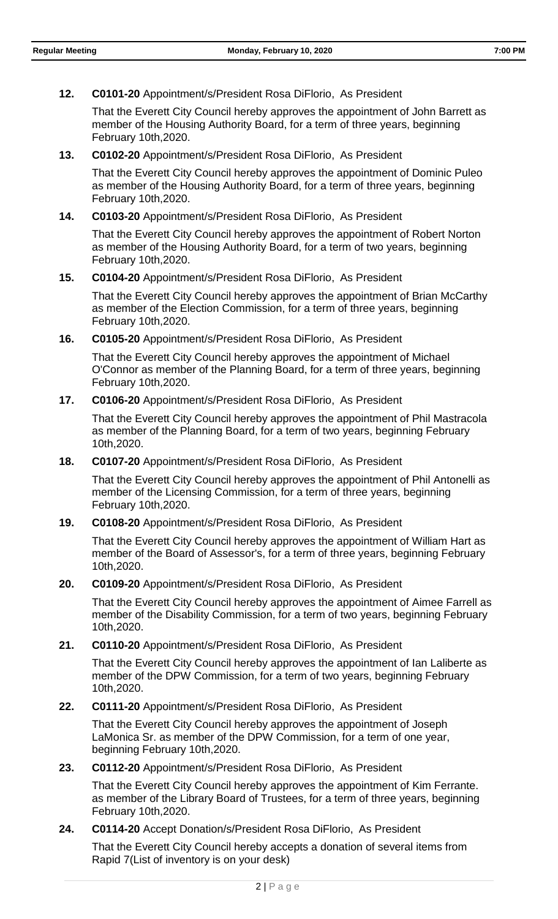## **12. C0101-20** Appointment/s/President Rosa DiFlorio, As President

That the Everett City Council hereby approves the appointment of John Barrett as member of the Housing Authority Board, for a term of three years, beginning February 10th,2020.

#### **13. C0102-20** Appointment/s/President Rosa DiFlorio, As President

That the Everett City Council hereby approves the appointment of Dominic Puleo as member of the Housing Authority Board, for a term of three years, beginning February 10th,2020.

#### **14. C0103-20** Appointment/s/President Rosa DiFlorio, As President

That the Everett City Council hereby approves the appointment of Robert Norton as member of the Housing Authority Board, for a term of two years, beginning February 10th,2020.

#### **15. C0104-20** Appointment/s/President Rosa DiFlorio, As President

That the Everett City Council hereby approves the appointment of Brian McCarthy as member of the Election Commission, for a term of three years, beginning February 10th,2020.

#### **16. C0105-20** Appointment/s/President Rosa DiFlorio, As President

That the Everett City Council hereby approves the appointment of Michael O'Connor as member of the Planning Board, for a term of three years, beginning February 10th,2020.

## **17. C0106-20** Appointment/s/President Rosa DiFlorio, As President

That the Everett City Council hereby approves the appointment of Phil Mastracola as member of the Planning Board, for a term of two years, beginning February 10th,2020.

#### **18. C0107-20** Appointment/s/President Rosa DiFlorio, As President

That the Everett City Council hereby approves the appointment of Phil Antonelli as member of the Licensing Commission, for a term of three years, beginning February 10th,2020.

## **19. C0108-20** Appointment/s/President Rosa DiFlorio, As President

That the Everett City Council hereby approves the appointment of William Hart as member of the Board of Assessor's, for a term of three years, beginning February 10th,2020.

## **20. C0109-20** Appointment/s/President Rosa DiFlorio, As President

That the Everett City Council hereby approves the appointment of Aimee Farrell as member of the Disability Commission, for a term of two years, beginning February 10th,2020.

## **21. C0110-20** Appointment/s/President Rosa DiFlorio, As President

That the Everett City Council hereby approves the appointment of Ian Laliberte as member of the DPW Commission, for a term of two years, beginning February 10th,2020.

## **22. C0111-20** Appointment/s/President Rosa DiFlorio, As President

That the Everett City Council hereby approves the appointment of Joseph LaMonica Sr. as member of the DPW Commission, for a term of one year, beginning February 10th,2020.

## **23. C0112-20** Appointment/s/President Rosa DiFlorio, As President

That the Everett City Council hereby approves the appointment of Kim Ferrante. as member of the Library Board of Trustees, for a term of three years, beginning February 10th,2020.

## **24. C0114-20** Accept Donation/s/President Rosa DiFlorio, As President

That the Everett City Council hereby accepts a donation of several items from Rapid 7(List of inventory is on your desk)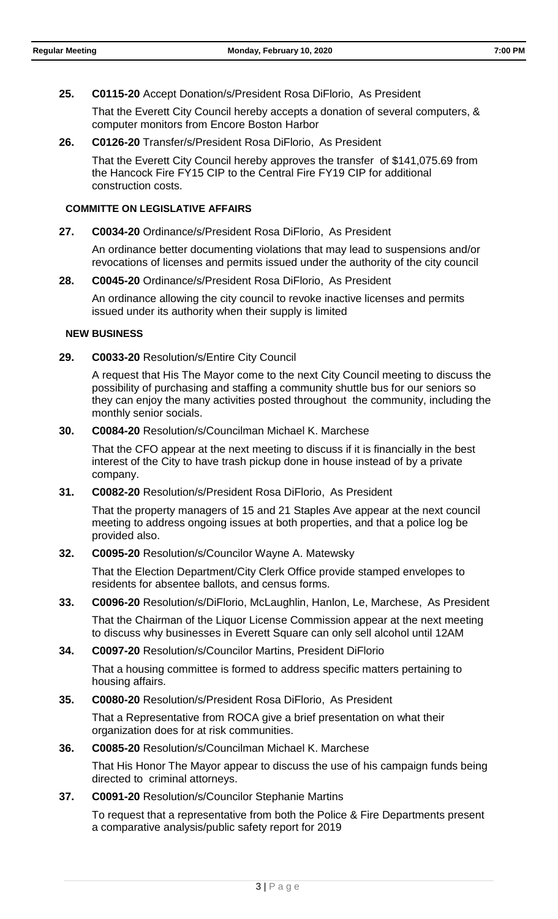## **25. C0115-20** Accept Donation/s/President Rosa DiFlorio, As President

That the Everett City Council hereby accepts a donation of several computers, & computer monitors from Encore Boston Harbor

## **26. C0126-20** Transfer/s/President Rosa DiFlorio, As President

That the Everett City Council hereby approves the transfer of \$141,075.69 from the Hancock Fire FY15 CIP to the Central Fire FY19 CIP for additional construction costs.

#### **COMMITTE ON LEGISLATIVE AFFAIRS**

#### **27. C0034-20** Ordinance/s/President Rosa DiFlorio, As President

An ordinance better documenting violations that may lead to suspensions and/or revocations of licenses and permits issued under the authority of the city council

#### **28. C0045-20** Ordinance/s/President Rosa DiFlorio, As President

An ordinance allowing the city council to revoke inactive licenses and permits issued under its authority when their supply is limited

#### **NEW BUSINESS**

#### **29. C0033-20** Resolution/s/Entire City Council

A request that His The Mayor come to the next City Council meeting to discuss the possibility of purchasing and staffing a community shuttle bus for our seniors so they can enjoy the many activities posted throughout the community, including the monthly senior socials.

## **30. C0084-20** Resolution/s/Councilman Michael K. Marchese

That the CFO appear at the next meeting to discuss if it is financially in the best interest of the City to have trash pickup done in house instead of by a private company.

#### **31. C0082-20** Resolution/s/President Rosa DiFlorio, As President

That the property managers of 15 and 21 Staples Ave appear at the next council meeting to address ongoing issues at both properties, and that a police log be provided also.

## **32. C0095-20** Resolution/s/Councilor Wayne A. Matewsky

That the Election Department/City Clerk Office provide stamped envelopes to residents for absentee ballots, and census forms.

#### **33. C0096-20** Resolution/s/DiFlorio, McLaughlin, Hanlon, Le, Marchese, As President

That the Chairman of the Liquor License Commission appear at the next meeting to discuss why businesses in Everett Square can only sell alcohol until 12AM

#### **34. C0097-20** Resolution/s/Councilor Martins, President DiFlorio

That a housing committee is formed to address specific matters pertaining to housing affairs.

## **35. C0080-20** Resolution/s/President Rosa DiFlorio, As President

That a Representative from ROCA give a brief presentation on what their organization does for at risk communities.

#### **36. C0085-20** Resolution/s/Councilman Michael K. Marchese

That His Honor The Mayor appear to discuss the use of his campaign funds being directed to criminal attorneys.

### **37. C0091-20** Resolution/s/Councilor Stephanie Martins

To request that a representative from both the Police & Fire Departments present a comparative analysis/public safety report for 2019